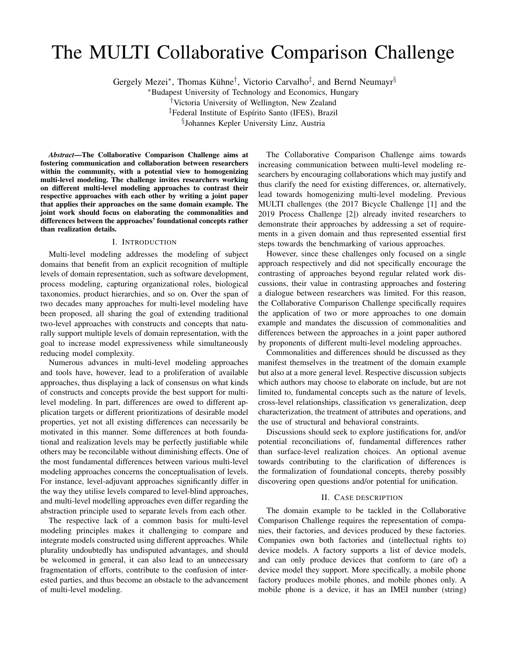# The MULTI Collaborative Comparison Challenge

Gergely Mezei\*, Thomas Kühne<sup>†</sup>, Victorio Carvalho<sup>‡</sup>, and Bernd Neumayr<sup>§</sup>

<sup>∗</sup>Budapest University of Technology and Economics, Hungary †Victoria University of Wellington, New Zealand

<sup>‡</sup>Federal Institute of Espírito Santo (IFES), Brazil

§ Johannes Kepler University Linz, Austria

*Abstract*—The Collaborative Comparison Challenge aims at fostering communication and collaboration between researchers within the community, with a potential view to homogenizing multi-level modeling. The challenge invites researchers working on different multi-level modeling approaches to contrast their respective approaches with each other by writing a joint paper that applies their approaches on the same domain example. The joint work should focus on elaborating the commonalities and differences between the approaches' foundational concepts rather than realization details.

# I. INTRODUCTION

Multi-level modeling addresses the modeling of subject domains that benefit from an explicit recognition of multiple levels of domain representation, such as software development, process modeling, capturing organizational roles, biological taxonomies, product hierarchies, and so on. Over the span of two decades many approaches for multi-level modeling have been proposed, all sharing the goal of extending traditional two-level approaches with constructs and concepts that naturally support multiple levels of domain representation, with the goal to increase model expressiveness while simultaneously reducing model complexity.

Numerous advances in multi-level modeling approaches and tools have, however, lead to a proliferation of available approaches, thus displaying a lack of consensus on what kinds of constructs and concepts provide the best support for multilevel modeling. In part, differences are owed to different application targets or different prioritizations of desirable model properties, yet not all existing differences can necessarily be motivated in this manner. Some differences at both foundational and realization levels may be perfectly justifiable while others may be reconcilable without diminishing effects. One of the most fundamental differences between various multi-level modeling approaches concerns the conceptualisation of levels. For instance, level-adjuvant approaches significantly differ in the way they utilise levels compared to level-blind approaches, and multi-level modelling approaches even differ regarding the abstraction principle used to separate levels from each other.

The respective lack of a common basis for multi-level modeling principles makes it challenging to compare and integrate models constructed using different approaches. While plurality undoubtedly has undisputed advantages, and should be welcomed in general, it can also lead to an unnecessary fragmentation of efforts, contribute to the confusion of interested parties, and thus become an obstacle to the advancement of multi-level modeling.

The Collaborative Comparison Challenge aims towards increasing communication between multi-level modeling researchers by encouraging collaborations which may justify and thus clarify the need for existing differences, or, alternatively, lead towards homogenizing multi-level modeling. Previous MULTI challenges (the 2017 Bicycle Challenge [1] and the 2019 Process Challenge [2]) already invited researchers to demonstrate their approaches by addressing a set of requirements in a given domain and thus represented essential first steps towards the benchmarking of various approaches.

However, since these challenges only focused on a single approach respectively and did not specifically encourage the contrasting of approaches beyond regular related work discussions, their value in contrasting approaches and fostering a dialogue between researchers was limited. For this reason, the Collaborative Comparison Challenge specifically requires the application of two or more approaches to one domain example and mandates the discussion of commonalities and differences between the approaches in a joint paper authored by proponents of different multi-level modeling approaches.

Commonalities and differences should be discussed as they manifest themselves in the treatment of the domain example but also at a more general level. Respective discussion subjects which authors may choose to elaborate on include, but are not limited to, fundamental concepts such as the nature of levels, cross-level relationships, classification vs generalization, deep characterization, the treatment of attributes and operations, and the use of structural and behavioral constraints.

Discussions should seek to explore justifications for, and/or potential reconciliations of, fundamental differences rather than surface-level realization choices. An optional avenue towards contributing to the clarification of differences is the formalization of foundational concepts, thereby possibly discovering open questions and/or potential for unification.

#### II. CASE DESCRIPTION

The domain example to be tackled in the Collaborative Comparison Challenge requires the representation of companies, their factories, and devices produced by these factories. Companies own both factories and (intellectual rights to) device models. A factory supports a list of device models, and can only produce devices that conform to (are of) a device model they support. More specifically, a mobile phone factory produces mobile phones, and mobile phones only. A mobile phone is a device, it has an IMEI number (string)